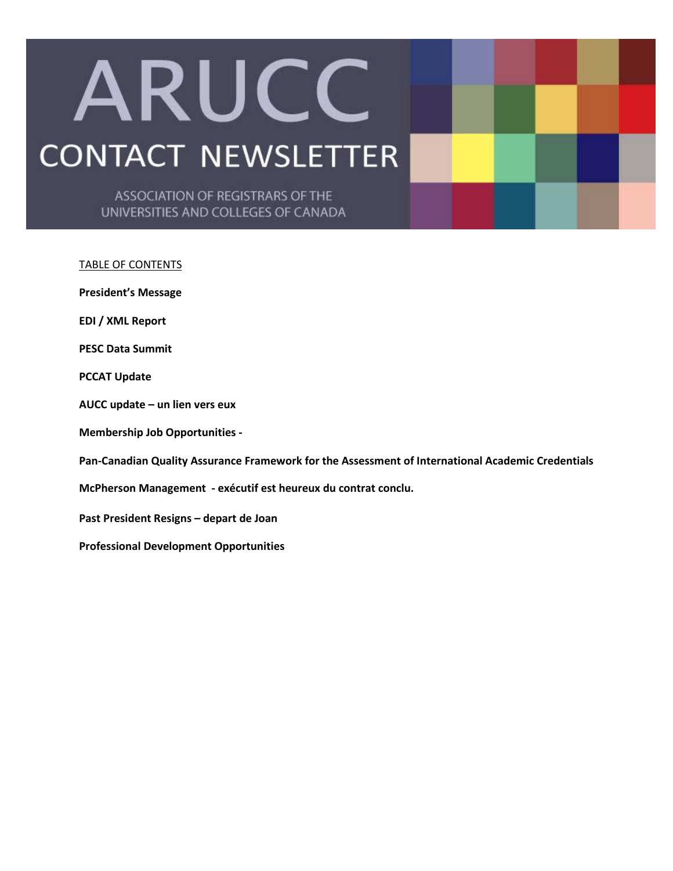# ARUCC **CONTACT NEWSLETTER**

ASSOCIATION OF REGISTRARS OF THE UNIVERSITIES AND COLLEGES OF CANADA

#### TABLE OF CONTENTS

**President's Message** 

**EDI / XML Report** 

**PESC Data Summit** 

**PCCAT Update** 

**AUCC update – un lien vers eux** 

**Membership Job Opportunities -** 

**Pan-Canadian Quality Assurance Framework for the Assessment of International Academic Credentials** 

**McPherson Management - exécutif est heureux du contrat conclu.** 

**Past President Resigns – depart de Joan** 

**Professional Development Opportunities**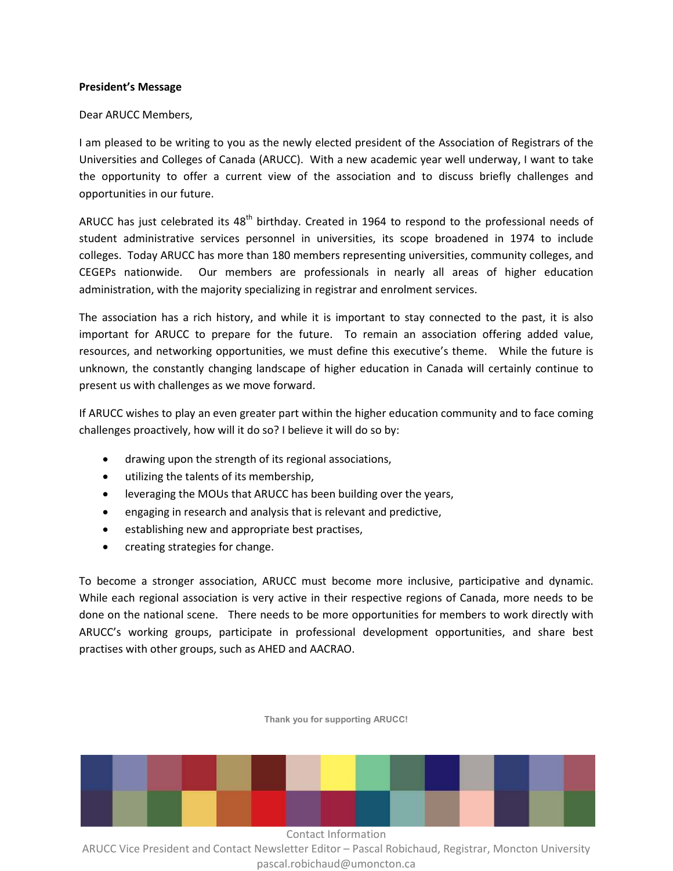#### **President's Message**

### Dear ARUCC Members,

I am pleased to be writing to you as the newly elected president of the Association of Registrars of the Universities and Colleges of Canada (ARUCC). With a new academic year well underway, I want to take the opportunity to offer a current view of the association and to discuss briefly challenges and opportunities in our future.

ARUCC has just celebrated its  $48<sup>th</sup>$  birthday. Created in 1964 to respond to the professional needs of student administrative services personnel in universities, its scope broadened in 1974 to include colleges. Today ARUCC has more than 180 members representing universities, community colleges, and CEGEPs nationwide. Our members are professionals in nearly all areas of higher education administration, with the majority specializing in registrar and enrolment services.

The association has a rich history, and while it is important to stay connected to the past, it is also important for ARUCC to prepare for the future. To remain an association offering added value, resources, and networking opportunities, we must define this executive's theme. While the future is unknown, the constantly changing landscape of higher education in Canada will certainly continue to present us with challenges as we move forward.

If ARUCC wishes to play an even greater part within the higher education community and to face coming challenges proactively, how will it do so? I believe it will do so by:

- drawing upon the strength of its regional associations,
- utilizing the talents of its membership,
- leveraging the MOUs that ARUCC has been building over the years,
- engaging in research and analysis that is relevant and predictive,
- establishing new and appropriate best practises,
- creating strategies for change.

To become a stronger association, ARUCC must become more inclusive, participative and dynamic. While each regional association is very active in their respective regions of Canada, more needs to be done on the national scene. There needs to be more opportunities for members to work directly with ARUCC's working groups, participate in professional development opportunities, and share best practises with other groups, such as AHED and AACRAO.



**Thank you for supporting ARUCC!**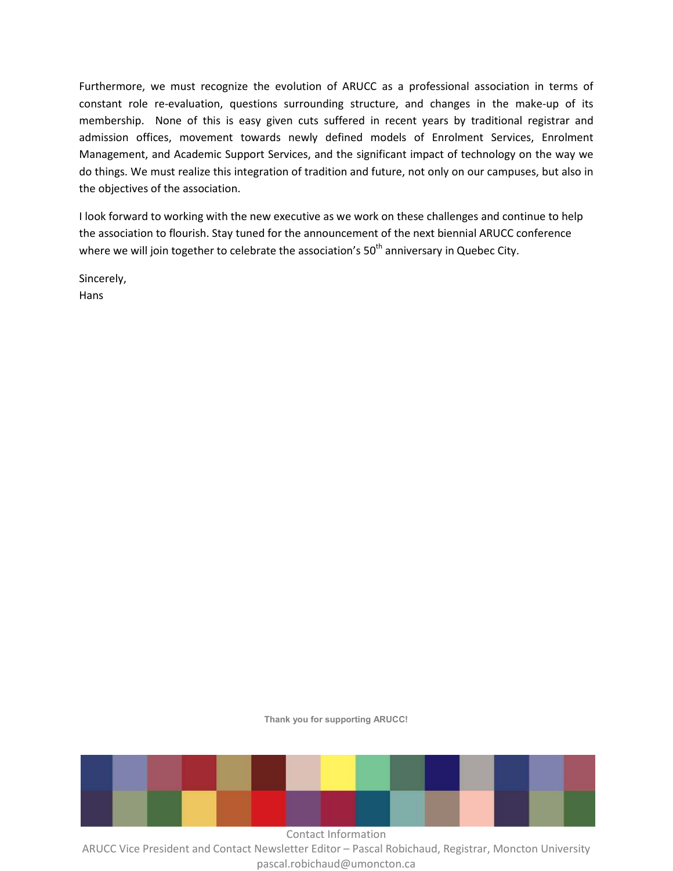Furthermore, we must recognize the evolution of ARUCC as a professional association in terms of constant role re-evaluation, questions surrounding structure, and changes in the make-up of its membership. None of this is easy given cuts suffered in recent years by traditional registrar and admission offices, movement towards newly defined models of Enrolment Services, Enrolment Management, and Academic Support Services, and the significant impact of technology on the way we do things. We must realize this integration of tradition and future, not only on our campuses, but also in the objectives of the association.

I look forward to working with the new executive as we work on these challenges and continue to help the association to flourish. Stay tuned for the announcement of the next biennial ARUCC conference where we will join together to celebrate the association's  $50<sup>th</sup>$  anniversary in Quebec City.

Sincerely, Hans

**Thank you for supporting ARUCC!** 



pascal.robichaud@umoncton.ca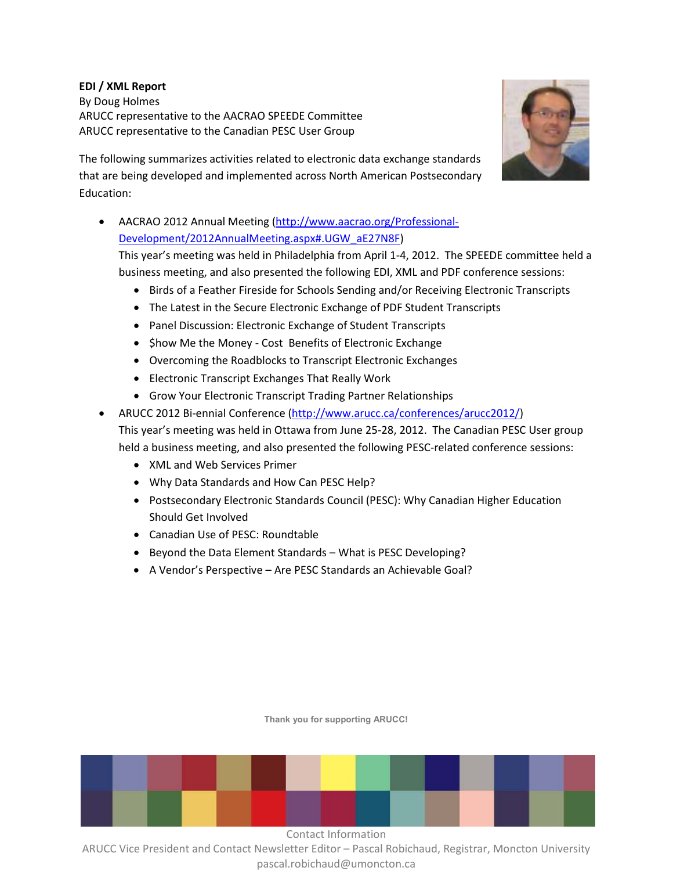# **EDI / XML Report**

By Doug Holmes ARUCC representative to the AACRAO SPEEDE Committee ARUCC representative to the Canadian PESC User Group



The following summarizes activities related to electronic data exchange standards that are being developed and implemented across North American Postsecondary Education:

• AACRAO 2012 Annual Meeting (http://www.aacrao.org/Professional-Development/2012AnnualMeeting.aspx#.UGW\_aE27N8F)

This year's meeting was held in Philadelphia from April 1-4, 2012. The SPEEDE committee held a business meeting, and also presented the following EDI, XML and PDF conference sessions:

- Birds of a Feather Fireside for Schools Sending and/or Receiving Electronic Transcripts
- The Latest in the Secure Electronic Exchange of PDF Student Transcripts
- Panel Discussion: Electronic Exchange of Student Transcripts
- \$how Me the Money Cost Benefits of Electronic Exchange
- Overcoming the Roadblocks to Transcript Electronic Exchanges
- Electronic Transcript Exchanges That Really Work
- Grow Your Electronic Transcript Trading Partner Relationships
- ARUCC 2012 Bi-ennial Conference (http://www.arucc.ca/conferences/arucc2012/) This year's meeting was held in Ottawa from June 25-28, 2012. The Canadian PESC User group held a business meeting, and also presented the following PESC-related conference sessions:
	- XML and Web Services Primer
	- Why Data Standards and How Can PESC Help?
	- Postsecondary Electronic Standards Council (PESC): Why Canadian Higher Education Should Get Involved
	- Canadian Use of PESC: Roundtable
	- Beyond the Data Element Standards What is PESC Developing?
	- A Vendor's Perspective Are PESC Standards an Achievable Goal?

**Thank you for supporting ARUCC!** 

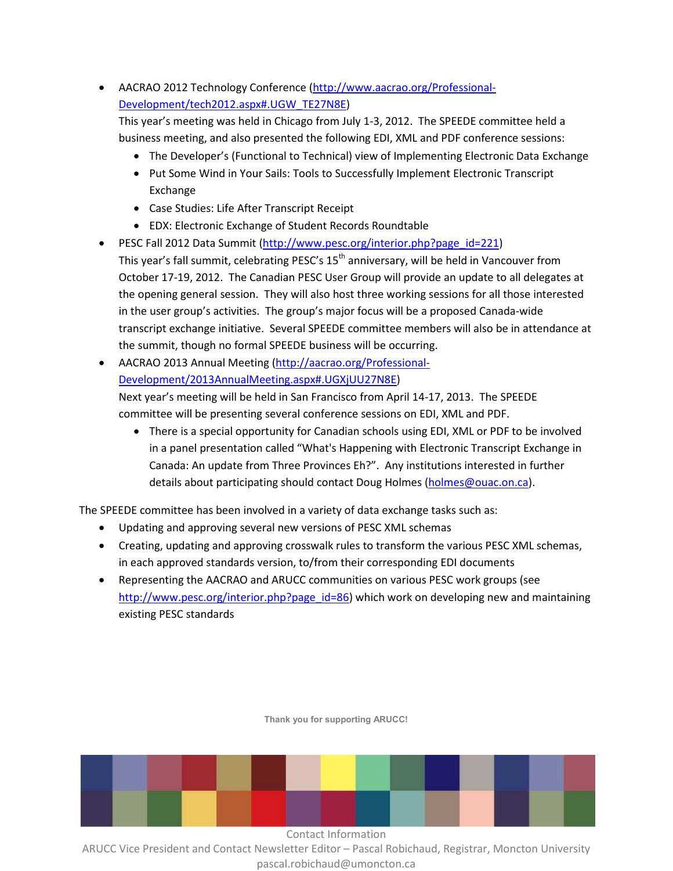• AACRAO 2012 Technology Conference (http://www.aacrao.org/Professional-Development/tech2012.aspx#.UGW\_TE27N8E)

This year's meeting was held in Chicago from July 1-3, 2012. The SPEEDE committee held a business meeting, and also presented the following EDI, XML and PDF conference sessions:

- The Developer's (Functional to Technical) view of Implementing Electronic Data Exchange
- Put Some Wind in Your Sails: Tools to Successfully Implement Electronic Transcript Exchange
- Case Studies: Life After Transcript Receipt
- EDX: Electronic Exchange of Student Records Roundtable
- PESC Fall 2012 Data Summit (http://www.pesc.org/interior.php?page\_id=221) This year's fall summit, celebrating PESC's  $15<sup>th</sup>$  anniversary, will be held in Vancouver from October 17-19, 2012. The Canadian PESC User Group will provide an update to all delegates at the opening general session. They will also host three working sessions for all those interested in the user group's activities. The group's major focus will be a proposed Canada-wide transcript exchange initiative. Several SPEEDE committee members will also be in attendance at the summit, though no formal SPEEDE business will be occurring.
- AACRAO 2013 Annual Meeting (http://aacrao.org/Professional-Development/2013AnnualMeeting.aspx#.UGXjUU27N8E)

Next year's meeting will be held in San Francisco from April 14-17, 2013. The SPEEDE committee will be presenting several conference sessions on EDI, XML and PDF.

• There is a special opportunity for Canadian schools using EDI, XML or PDF to be involved in a panel presentation called "What's Happening with Electronic Transcript Exchange in Canada: An update from Three Provinces Eh?". Any institutions interested in further details about participating should contact Doug Holmes (holmes@ouac.on.ca).

The SPEEDE committee has been involved in a variety of data exchange tasks such as:

- Updating and approving several new versions of PESC XML schemas
- Creating, updating and approving crosswalk rules to transform the various PESC XML schemas, in each approved standards version, to/from their corresponding EDI documents
- Representing the AACRAO and ARUCC communities on various PESC work groups (see http://www.pesc.org/interior.php?page\_id=86) which work on developing new and maintaining existing PESC standards



**Thank you for supporting ARUCC!**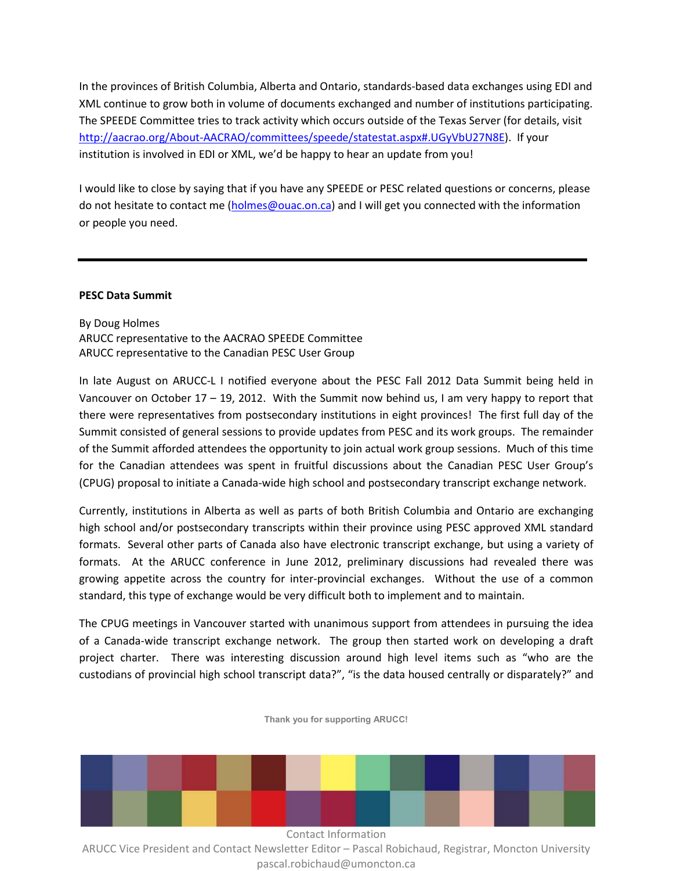In the provinces of British Columbia, Alberta and Ontario, standards-based data exchanges using EDI and XML continue to grow both in volume of documents exchanged and number of institutions participating. The SPEEDE Committee tries to track activity which occurs outside of the Texas Server (for details, visit http://aacrao.org/About-AACRAO/committees/speede/statestat.aspx#.UGyVbU27N8E). If your institution is involved in EDI or XML, we'd be happy to hear an update from you!

I would like to close by saying that if you have any SPEEDE or PESC related questions or concerns, please do not hesitate to contact me (holmes@ouac.on.ca) and I will get you connected with the information or people you need.

#### **PESC Data Summit**

# By Doug Holmes ARUCC representative to the AACRAO SPEEDE Committee ARUCC representative to the Canadian PESC User Group

In late August on ARUCC-L I notified everyone about the PESC Fall 2012 Data Summit being held in Vancouver on October 17 – 19, 2012. With the Summit now behind us, I am very happy to report that there were representatives from postsecondary institutions in eight provinces! The first full day of the Summit consisted of general sessions to provide updates from PESC and its work groups. The remainder of the Summit afforded attendees the opportunity to join actual work group sessions. Much of this time for the Canadian attendees was spent in fruitful discussions about the Canadian PESC User Group's (CPUG) proposal to initiate a Canada-wide high school and postsecondary transcript exchange network.

Currently, institutions in Alberta as well as parts of both British Columbia and Ontario are exchanging high school and/or postsecondary transcripts within their province using PESC approved XML standard formats. Several other parts of Canada also have electronic transcript exchange, but using a variety of formats. At the ARUCC conference in June 2012, preliminary discussions had revealed there was growing appetite across the country for inter-provincial exchanges. Without the use of a common standard, this type of exchange would be very difficult both to implement and to maintain.

The CPUG meetings in Vancouver started with unanimous support from attendees in pursuing the idea of a Canada-wide transcript exchange network. The group then started work on developing a draft project charter. There was interesting discussion around high level items such as "who are the custodians of provincial high school transcript data?", "is the data housed centrally or disparately?" and

**Thank you for supporting ARUCC!** 

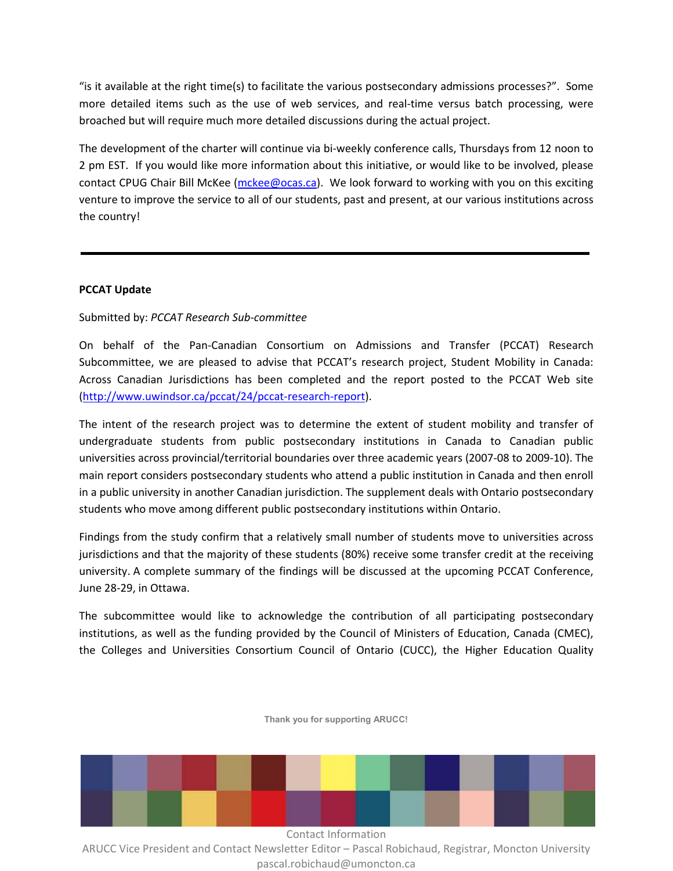"is it available at the right time(s) to facilitate the various postsecondary admissions processes?". Some more detailed items such as the use of web services, and real-time versus batch processing, were broached but will require much more detailed discussions during the actual project.

The development of the charter will continue via bi-weekly conference calls, Thursdays from 12 noon to 2 pm EST. If you would like more information about this initiative, or would like to be involved, please contact CPUG Chair Bill McKee (mckee@ocas.ca). We look forward to working with you on this exciting venture to improve the service to all of our students, past and present, at our various institutions across the country!

## **PCCAT Update**

# Submitted by: *PCCAT Research Sub-committee*

On behalf of the Pan-Canadian Consortium on Admissions and Transfer (PCCAT) Research Subcommittee, we are pleased to advise that PCCAT's research project, Student Mobility in Canada: Across Canadian Jurisdictions has been completed and the report posted to the PCCAT Web site (http://www.uwindsor.ca/pccat/24/pccat-research-report).

The intent of the research project was to determine the extent of student mobility and transfer of undergraduate students from public postsecondary institutions in Canada to Canadian public universities across provincial/territorial boundaries over three academic years (2007-08 to 2009-10). The main report considers postsecondary students who attend a public institution in Canada and then enroll in a public university in another Canadian jurisdiction. The supplement deals with Ontario postsecondary students who move among different public postsecondary institutions within Ontario.

Findings from the study confirm that a relatively small number of students move to universities across jurisdictions and that the majority of these students (80%) receive some transfer credit at the receiving university. A complete summary of the findings will be discussed at the upcoming PCCAT Conference, June 28-29, in Ottawa.

The subcommittee would like to acknowledge the contribution of all participating postsecondary institutions, as well as the funding provided by the Council of Ministers of Education, Canada (CMEC), the Colleges and Universities Consortium Council of Ontario (CUCC), the Higher Education Quality



**Thank you for supporting ARUCC!**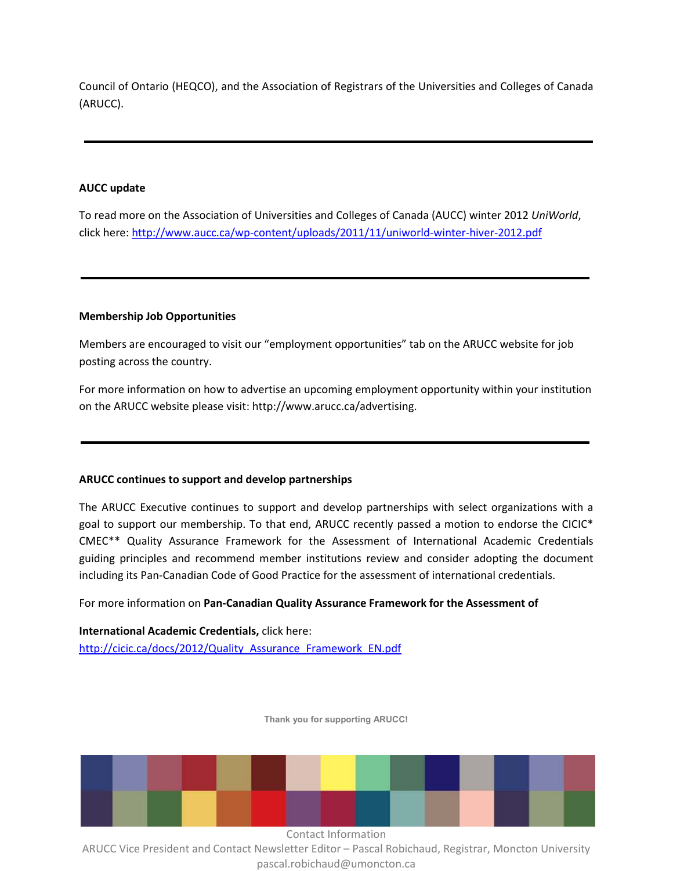Council of Ontario (HEQCO), and the Association of Registrars of the Universities and Colleges of Canada (ARUCC).

# **AUCC update**

To read more on the Association of Universities and Colleges of Canada (AUCC) winter 2012 *UniWorld*, click here: http://www.aucc.ca/wp-content/uploads/2011/11/uniworld-winter-hiver-2012.pdf

## **Membership Job Opportunities**

Members are encouraged to visit our "employment opportunities" tab on the ARUCC website for job posting across the country.

For more information on how to advertise an upcoming employment opportunity within your institution on the ARUCC website please visit: http://www.arucc.ca/advertising.

## **ARUCC continues to support and develop partnerships**

The ARUCC Executive continues to support and develop partnerships with select organizations with a goal to support our membership. To that end, ARUCC recently passed a motion to endorse the CICIC\* CMEC\*\* Quality Assurance Framework for the Assessment of International Academic Credentials guiding principles and recommend member institutions review and consider adopting the document including its Pan-Canadian Code of Good Practice for the assessment of international credentials.

For more information on **Pan-Canadian Quality Assurance Framework for the Assessment of** 

**International Academic Credentials,** click here: http://cicic.ca/docs/2012/Quality\_Assurance\_Framework\_EN.pdf

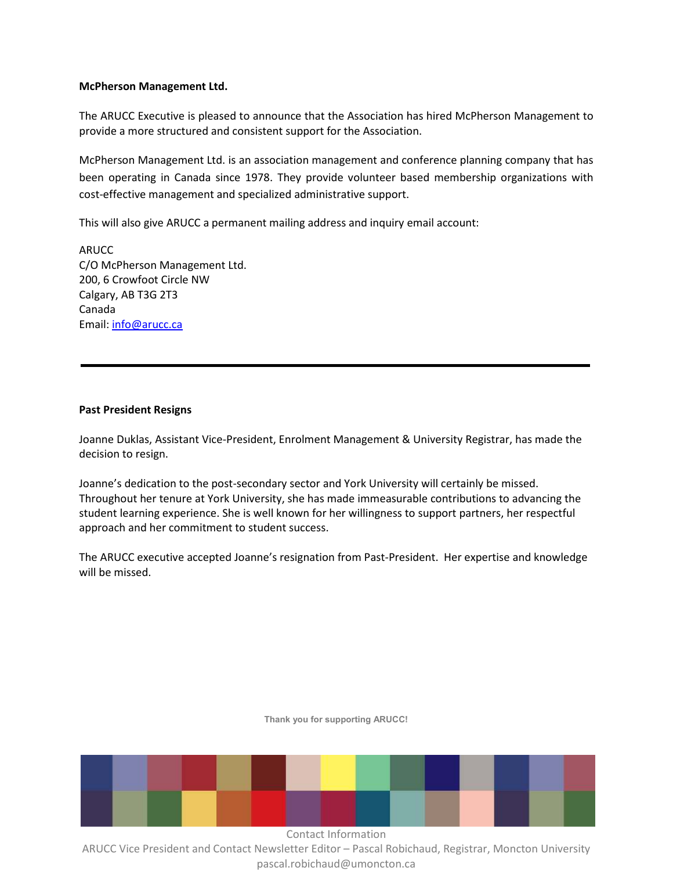#### **McPherson Management Ltd.**

The ARUCC Executive is pleased to announce that the Association has hired McPherson Management to provide a more structured and consistent support for the Association.

McPherson Management Ltd. is an association management and conference planning company that has been operating in Canada since 1978. They provide volunteer based membership organizations with cost-effective management and specialized administrative support.

This will also give ARUCC a permanent mailing address and inquiry email account:

ARUCC C/O McPherson Management Ltd. 200, 6 Crowfoot Circle NW Calgary, AB T3G 2T3 Canada Email: info@arucc.ca

## **Past President Resigns**

Joanne Duklas, Assistant Vice-President, Enrolment Management & University Registrar, has made the decision to resign.

Joanne's dedication to the post-secondary sector and York University will certainly be missed. Throughout her tenure at York University, she has made immeasurable contributions to advancing the student learning experience. She is well known for her willingness to support partners, her respectful approach and her commitment to student success.

The ARUCC executive accepted Joanne's resignation from Past-President. Her expertise and knowledge will be missed.

**Thank you for supporting ARUCC!**